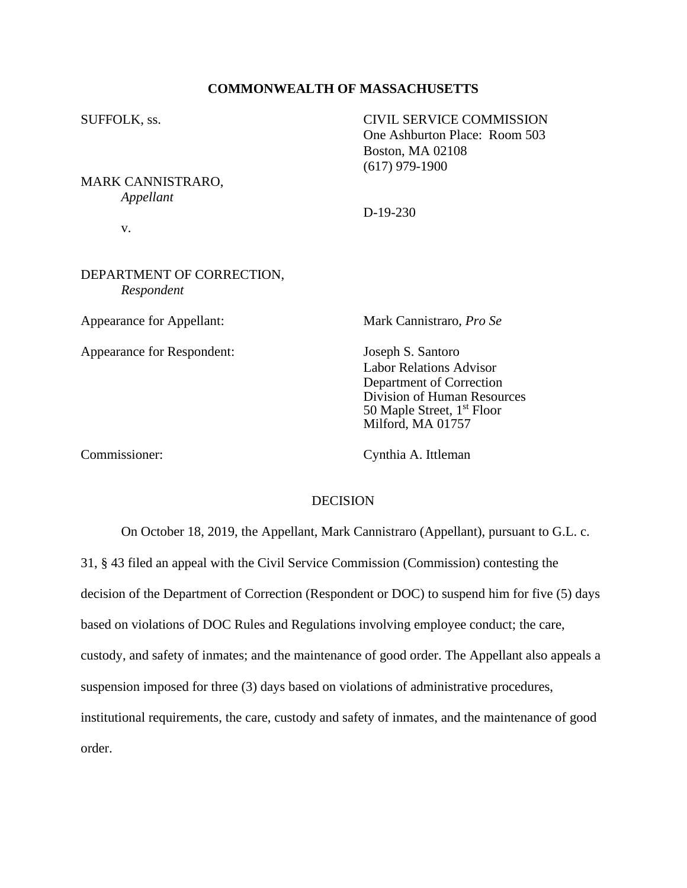## **COMMONWEALTH OF MASSACHUSETTS**

SUFFOLK, ss. CIVIL SERVICE COMMISSION

MARK CANNISTRARO, *Appellant*

v.

# DEPARTMENT OF CORRECTION, *Respondent*

Appearance for Respondent: Joseph S. Santoro

Appearance for Appellant: Mark Cannistraro, *Pro Se*

Labor Relations Advisor Department of Correction Division of Human Resources 50 Maple Street, 1<sup>st</sup> Floor Milford, MA 01757

Commissioner: Cynthia A. Ittleman

## **DECISION**

On October 18, 2019, the Appellant, Mark Cannistraro (Appellant), pursuant to G.L. c. 31, § 43 filed an appeal with the Civil Service Commission (Commission) contesting the decision of the Department of Correction (Respondent or DOC) to suspend him for five (5) days based on violations of DOC Rules and Regulations involving employee conduct; the care, custody, and safety of inmates; and the maintenance of good order. The Appellant also appeals a suspension imposed for three (3) days based on violations of administrative procedures, institutional requirements, the care, custody and safety of inmates, and the maintenance of good order.

D-19-230

One Ashburton Place: Room 503 Boston, MA 02108 (617) 979-1900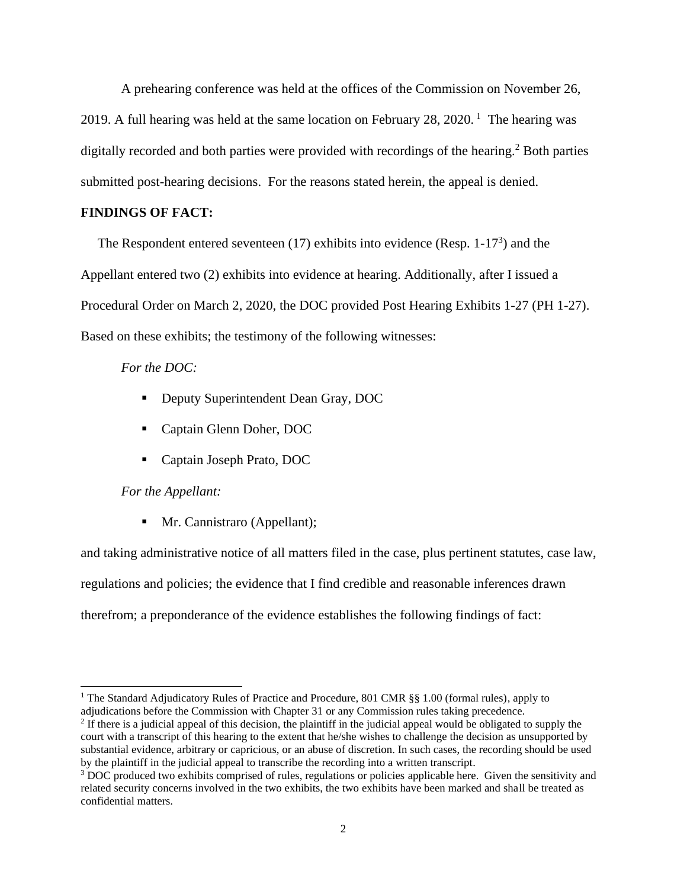A prehearing conference was held at the offices of the Commission on November 26, 2019. A full hearing was held at the same location on February 28, 2020.<sup>1</sup> The hearing was digitally recorded and both parties were provided with recordings of the hearing. <sup>2</sup> Both parties submitted post-hearing decisions. For the reasons stated herein, the appeal is denied.

# **FINDINGS OF FACT:**

The Respondent entered seventeen  $(17)$  exhibits into evidence (Resp.  $1-17<sup>3</sup>$ ) and the Appellant entered two (2) exhibits into evidence at hearing. Additionally, after I issued a Procedural Order on March 2, 2020, the DOC provided Post Hearing Exhibits 1-27 (PH 1-27). Based on these exhibits; the testimony of the following witnesses:

# *For the DOC:*

- Deputy Superintendent Dean Gray, DOC
- Captain Glenn Doher, DOC
- Captain Joseph Prato, DOC

## *For the Appellant:*

■ Mr. Cannistraro (Appellant);

and taking administrative notice of all matters filed in the case, plus pertinent statutes, case law, regulations and policies; the evidence that I find credible and reasonable inferences drawn therefrom; a preponderance of the evidence establishes the following findings of fact:

<sup>&</sup>lt;sup>1</sup> The Standard Adjudicatory Rules of Practice and Procedure, 801 CMR §§ 1.00 (formal rules), apply to adjudications before the Commission with Chapter 31 or any Commission rules taking precedence.

 $<sup>2</sup>$  If there is a judicial appeal of this decision, the plaintiff in the judicial appeal would be obligated to supply the</sup> court with a transcript of this hearing to the extent that he/she wishes to challenge the decision as unsupported by substantial evidence, arbitrary or capricious, or an abuse of discretion. In such cases, the recording should be used by the plaintiff in the judicial appeal to transcribe the recording into a written transcript.

<sup>&</sup>lt;sup>3</sup> DOC produced two exhibits comprised of rules, regulations or policies applicable here. Given the sensitivity and related security concerns involved in the two exhibits, the two exhibits have been marked and shall be treated as confidential matters.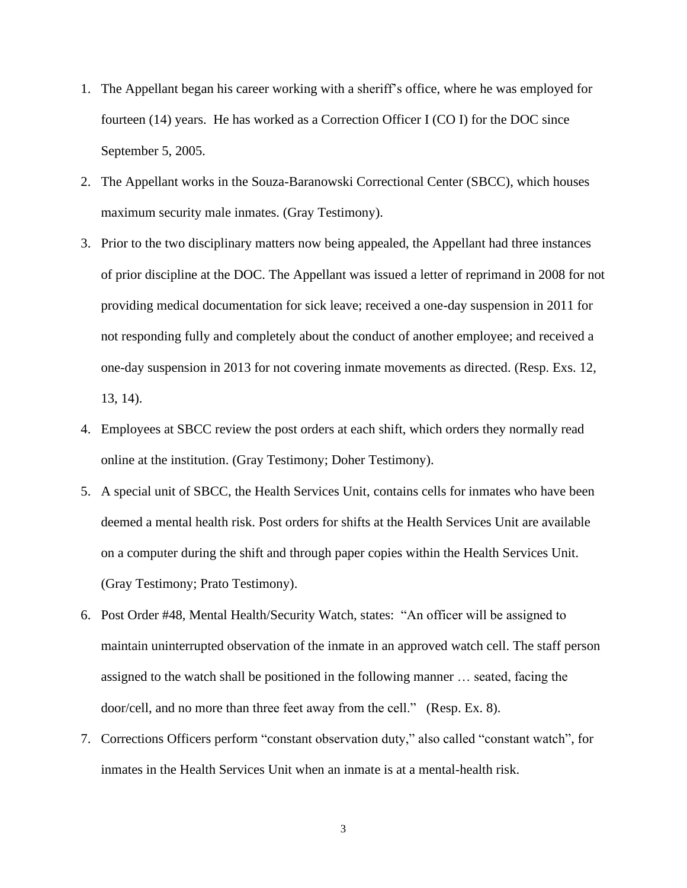- 1. The Appellant began his career working with a sheriff's office, where he was employed for fourteen (14) years. He has worked as a Correction Officer I (CO I) for the DOC since September 5, 2005.
- 2. The Appellant works in the Souza-Baranowski Correctional Center (SBCC), which houses maximum security male inmates. (Gray Testimony).
- 3. Prior to the two disciplinary matters now being appealed, the Appellant had three instances of prior discipline at the DOC. The Appellant was issued a letter of reprimand in 2008 for not providing medical documentation for sick leave; received a one-day suspension in 2011 for not responding fully and completely about the conduct of another employee; and received a one-day suspension in 2013 for not covering inmate movements as directed. (Resp. Exs. 12, 13, 14).
- 4. Employees at SBCC review the post orders at each shift, which orders they normally read online at the institution. (Gray Testimony; Doher Testimony).
- 5. A special unit of SBCC, the Health Services Unit, contains cells for inmates who have been deemed a mental health risk. Post orders for shifts at the Health Services Unit are available on a computer during the shift and through paper copies within the Health Services Unit. (Gray Testimony; Prato Testimony).
- 6. Post Order #48, Mental Health/Security Watch, states: "An officer will be assigned to maintain uninterrupted observation of the inmate in an approved watch cell. The staff person assigned to the watch shall be positioned in the following manner … seated, facing the door/cell, and no more than three feet away from the cell." (Resp. Ex. 8).
- 7. Corrections Officers perform "constant observation duty," also called "constant watch", for inmates in the Health Services Unit when an inmate is at a mental-health risk.

3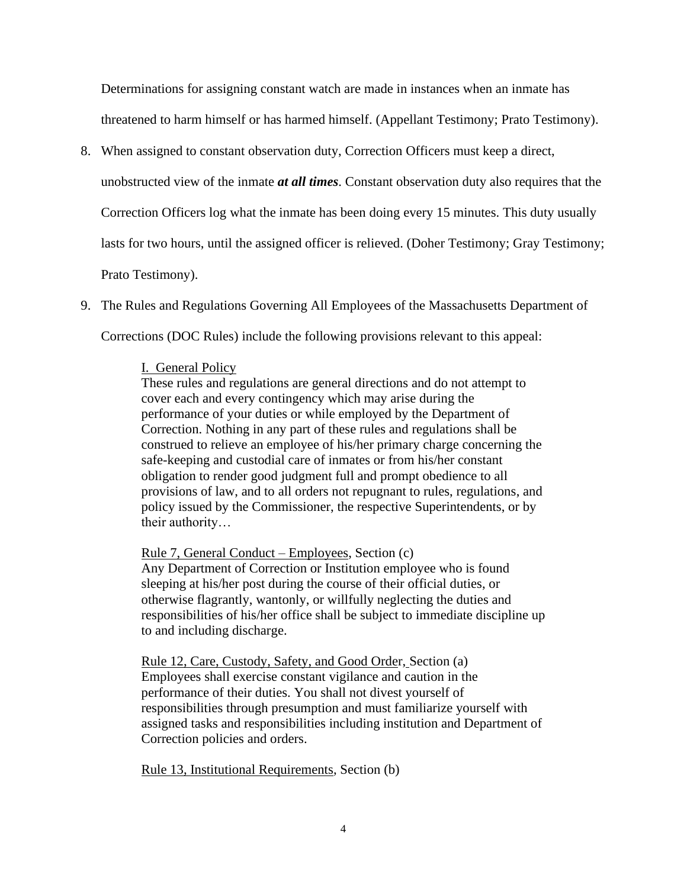Determinations for assigning constant watch are made in instances when an inmate has threatened to harm himself or has harmed himself. (Appellant Testimony; Prato Testimony).

8. When assigned to constant observation duty, Correction Officers must keep a direct,

unobstructed view of the inmate *at all times*. Constant observation duty also requires that the

Correction Officers log what the inmate has been doing every 15 minutes. This duty usually

lasts for two hours, until the assigned officer is relieved. (Doher Testimony; Gray Testimony;

Prato Testimony).

9. The Rules and Regulations Governing All Employees of the Massachusetts Department of

Corrections (DOC Rules) include the following provisions relevant to this appeal:

# I. General Policy

These rules and regulations are general directions and do not attempt to cover each and every contingency which may arise during the performance of your duties or while employed by the Department of Correction. Nothing in any part of these rules and regulations shall be construed to relieve an employee of his/her primary charge concerning the safe-keeping and custodial care of inmates or from his/her constant obligation to render good judgment full and prompt obedience to all provisions of law, and to all orders not repugnant to rules, regulations, and policy issued by the Commissioner, the respective Superintendents, or by their authority…

Rule 7, General Conduct – Employees, Section (c) Any Department of Correction or Institution employee who is found sleeping at his/her post during the course of their official duties, or

otherwise flagrantly, wantonly, or willfully neglecting the duties and responsibilities of his/her office shall be subject to immediate discipline up to and including discharge.

Rule 12, Care, Custody, Safety, and Good Order, Section (a) Employees shall exercise constant vigilance and caution in the performance of their duties. You shall not divest yourself of responsibilities through presumption and must familiarize yourself with assigned tasks and responsibilities including institution and Department of Correction policies and orders.

Rule 13, Institutional Requirements, Section (b)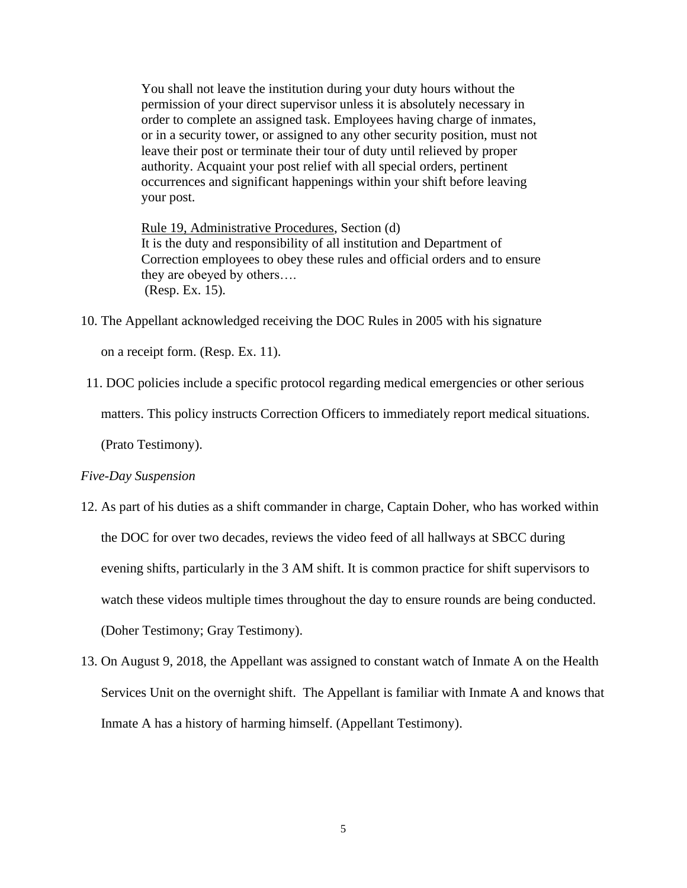You shall not leave the institution during your duty hours without the permission of your direct supervisor unless it is absolutely necessary in order to complete an assigned task. Employees having charge of inmates, or in a security tower, or assigned to any other security position, must not leave their post or terminate their tour of duty until relieved by proper authority. Acquaint your post relief with all special orders, pertinent occurrences and significant happenings within your shift before leaving your post.

Rule 19, Administrative Procedures, Section (d) It is the duty and responsibility of all institution and Department of Correction employees to obey these rules and official orders and to ensure they are obeyed by others…. (Resp. Ex. 15).

10. The Appellant acknowledged receiving the DOC Rules in 2005 with his signature

on a receipt form. (Resp. Ex. 11).

11. DOC policies include a specific protocol regarding medical emergencies or other serious

matters. This policy instructs Correction Officers to immediately report medical situations.

(Prato Testimony).

## *Five-Day Suspension*

- 12. As part of his duties as a shift commander in charge, Captain Doher, who has worked within the DOC for over two decades, reviews the video feed of all hallways at SBCC during evening shifts, particularly in the 3 AM shift. It is common practice for shift supervisors to watch these videos multiple times throughout the day to ensure rounds are being conducted. (Doher Testimony; Gray Testimony).
- 13. On August 9, 2018, the Appellant was assigned to constant watch of Inmate A on the Health Services Unit on the overnight shift. The Appellant is familiar with Inmate A and knows that Inmate A has a history of harming himself. (Appellant Testimony).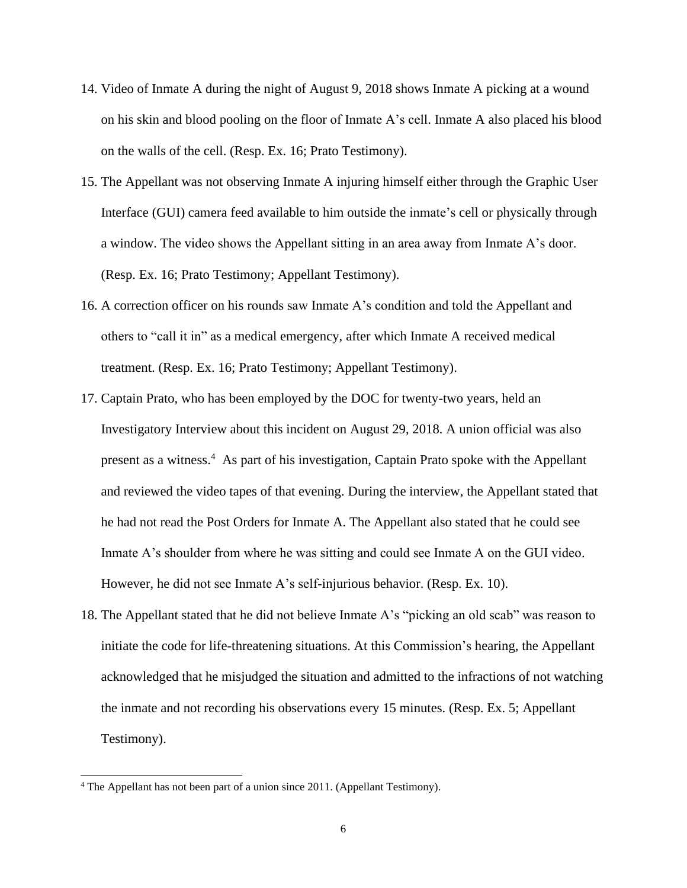- 14. Video of Inmate A during the night of August 9, 2018 shows Inmate A picking at a wound on his skin and blood pooling on the floor of Inmate A's cell. Inmate A also placed his blood on the walls of the cell. (Resp. Ex. 16; Prato Testimony).
- 15. The Appellant was not observing Inmate A injuring himself either through the Graphic User Interface (GUI) camera feed available to him outside the inmate's cell or physically through a window. The video shows the Appellant sitting in an area away from Inmate A's door. (Resp. Ex. 16; Prato Testimony; Appellant Testimony).
- 16. A correction officer on his rounds saw Inmate A's condition and told the Appellant and others to "call it in" as a medical emergency, after which Inmate A received medical treatment. (Resp. Ex. 16; Prato Testimony; Appellant Testimony).
- 17. Captain Prato, who has been employed by the DOC for twenty-two years, held an Investigatory Interview about this incident on August 29, 2018. A union official was also present as a witness.<sup>4</sup> As part of his investigation, Captain Prato spoke with the Appellant and reviewed the video tapes of that evening. During the interview, the Appellant stated that he had not read the Post Orders for Inmate A. The Appellant also stated that he could see Inmate A's shoulder from where he was sitting and could see Inmate A on the GUI video. However, he did not see Inmate A's self-injurious behavior. (Resp. Ex. 10).
- 18. The Appellant stated that he did not believe Inmate A's "picking an old scab" was reason to initiate the code for life-threatening situations. At this Commission's hearing, the Appellant acknowledged that he misjudged the situation and admitted to the infractions of not watching the inmate and not recording his observations every 15 minutes. (Resp. Ex. 5; Appellant Testimony).

<sup>4</sup> The Appellant has not been part of a union since 2011. (Appellant Testimony).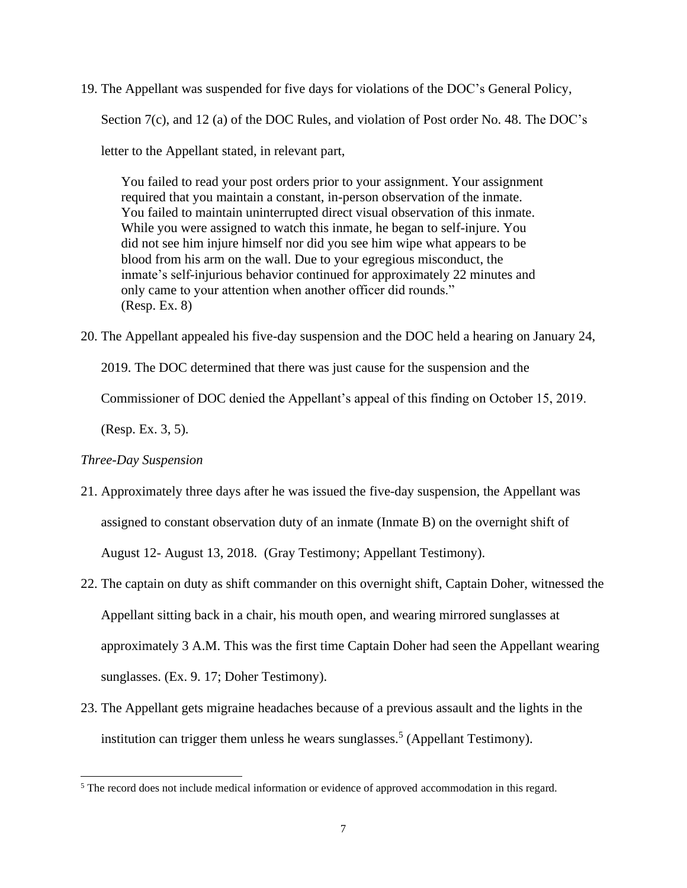19. The Appellant was suspended for five days for violations of the DOC's General Policy, Section 7(c), and 12 (a) of the DOC Rules, and violation of Post order No. 48. The DOC's

letter to the Appellant stated, in relevant part,

You failed to read your post orders prior to your assignment. Your assignment required that you maintain a constant, in-person observation of the inmate. You failed to maintain uninterrupted direct visual observation of this inmate. While you were assigned to watch this inmate, he began to self-injure. You did not see him injure himself nor did you see him wipe what appears to be blood from his arm on the wall. Due to your egregious misconduct, the inmate's self-injurious behavior continued for approximately 22 minutes and only came to your attention when another officer did rounds." (Resp. Ex. 8)

20. The Appellant appealed his five-day suspension and the DOC held a hearing on January 24,

2019. The DOC determined that there was just cause for the suspension and the

Commissioner of DOC denied the Appellant's appeal of this finding on October 15, 2019.

(Resp. Ex. 3, 5).

# *Three-Day Suspension*

- 21. Approximately three days after he was issued the five-day suspension, the Appellant was assigned to constant observation duty of an inmate (Inmate B) on the overnight shift of August 12- August 13, 2018. (Gray Testimony; Appellant Testimony).
- 22. The captain on duty as shift commander on this overnight shift, Captain Doher, witnessed the Appellant sitting back in a chair, his mouth open, and wearing mirrored sunglasses at approximately 3 A.M. This was the first time Captain Doher had seen the Appellant wearing sunglasses. (Ex. 9. 17; Doher Testimony).
- 23. The Appellant gets migraine headaches because of a previous assault and the lights in the institution can trigger them unless he wears sunglasses.<sup>5</sup> (Appellant Testimony).

<sup>&</sup>lt;sup>5</sup> The record does not include medical information or evidence of approved accommodation in this regard.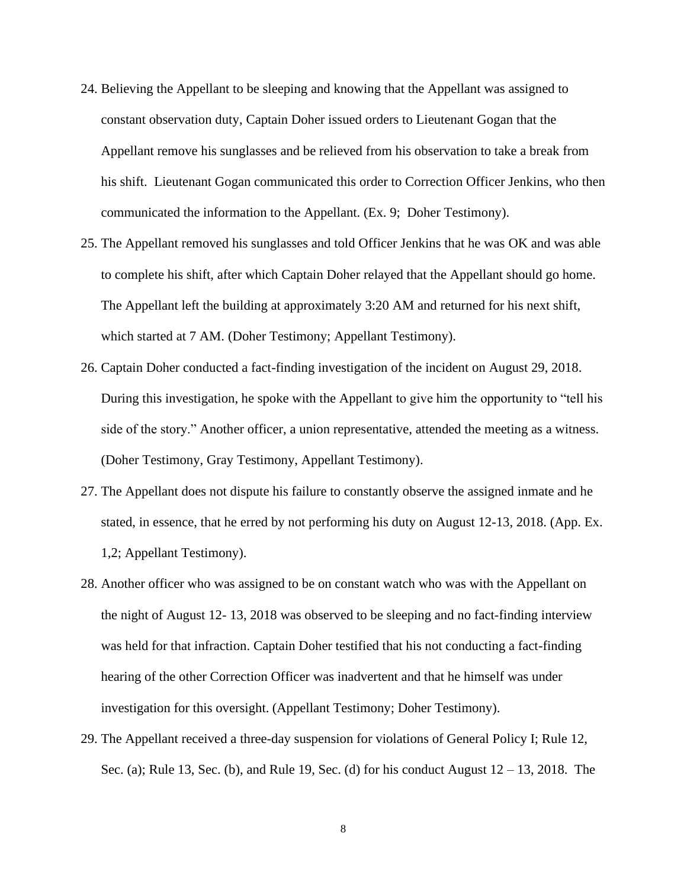- 24. Believing the Appellant to be sleeping and knowing that the Appellant was assigned to constant observation duty, Captain Doher issued orders to Lieutenant Gogan that the Appellant remove his sunglasses and be relieved from his observation to take a break from his shift. Lieutenant Gogan communicated this order to Correction Officer Jenkins, who then communicated the information to the Appellant. (Ex. 9; Doher Testimony).
- 25. The Appellant removed his sunglasses and told Officer Jenkins that he was OK and was able to complete his shift, after which Captain Doher relayed that the Appellant should go home. The Appellant left the building at approximately 3:20 AM and returned for his next shift, which started at 7 AM. (Doher Testimony; Appellant Testimony).
- 26. Captain Doher conducted a fact-finding investigation of the incident on August 29, 2018. During this investigation, he spoke with the Appellant to give him the opportunity to "tell his side of the story." Another officer, a union representative, attended the meeting as a witness. (Doher Testimony, Gray Testimony, Appellant Testimony).
- 27. The Appellant does not dispute his failure to constantly observe the assigned inmate and he stated, in essence, that he erred by not performing his duty on August 12-13, 2018. (App. Ex. 1,2; Appellant Testimony).
- 28. Another officer who was assigned to be on constant watch who was with the Appellant on the night of August 12- 13, 2018 was observed to be sleeping and no fact-finding interview was held for that infraction. Captain Doher testified that his not conducting a fact-finding hearing of the other Correction Officer was inadvertent and that he himself was under investigation for this oversight. (Appellant Testimony; Doher Testimony).
- 29. The Appellant received a three-day suspension for violations of General Policy I; Rule 12, Sec. (a); Rule 13, Sec. (b), and Rule 19, Sec. (d) for his conduct August  $12 - 13$ , 2018. The

8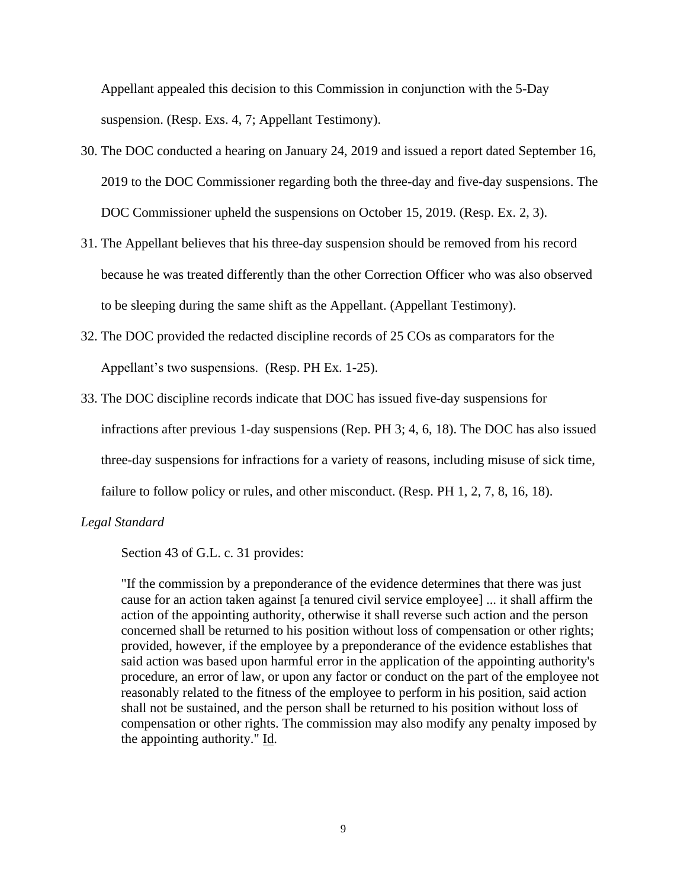Appellant appealed this decision to this Commission in conjunction with the 5-Day suspension. (Resp. Exs. 4, 7; Appellant Testimony).

- 30. The DOC conducted a hearing on January 24, 2019 and issued a report dated September 16, 2019 to the DOC Commissioner regarding both the three-day and five-day suspensions. The DOC Commissioner upheld the suspensions on October 15, 2019. (Resp. Ex. 2, 3).
- 31. The Appellant believes that his three-day suspension should be removed from his record because he was treated differently than the other Correction Officer who was also observed to be sleeping during the same shift as the Appellant. (Appellant Testimony).
- 32. The DOC provided the redacted discipline records of 25 COs as comparators for the Appellant's two suspensions. (Resp. PH Ex. 1-25).
- 33. The DOC discipline records indicate that DOC has issued five-day suspensions for infractions after previous 1-day suspensions (Rep. PH 3; 4, 6, 18). The DOC has also issued three-day suspensions for infractions for a variety of reasons, including misuse of sick time, failure to follow policy or rules, and other misconduct. (Resp. PH 1, 2, 7, 8, 16, 18).

## *Legal Standard*

Section 43 of G.L. c. 31 provides:

"If the commission by a preponderance of the evidence determines that there was just cause for an action taken against [a tenured civil service employee] ... it shall affirm the action of the appointing authority, otherwise it shall reverse such action and the person concerned shall be returned to his position without loss of compensation or other rights; provided, however, if the employee by a preponderance of the evidence establishes that said action was based upon harmful error in the application of the appointing authority's procedure, an error of law, or upon any factor or conduct on the part of the employee not reasonably related to the fitness of the employee to perform in his position, said action shall not be sustained, and the person shall be returned to his position without loss of compensation or other rights. The commission may also modify any penalty imposed by the appointing authority." Id.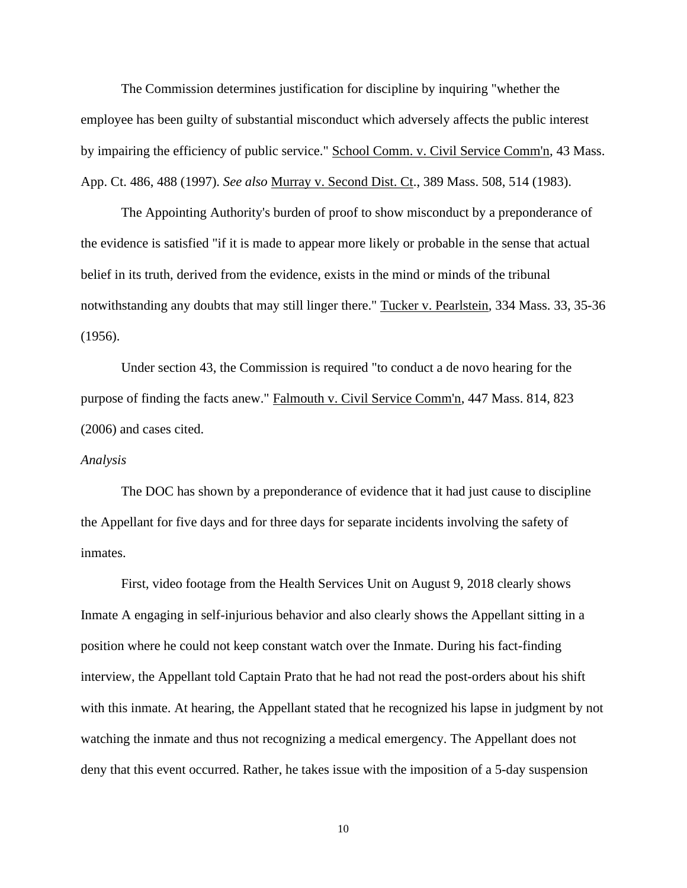The Commission determines justification for discipline by inquiring "whether the employee has been guilty of substantial misconduct which adversely affects the public interest by impairing the efficiency of public service." School Comm. v. Civil Service Comm'n, 43 Mass. App. Ct. 486, 488 (1997). *See also* Murray v. Second Dist. Ct., 389 Mass. 508, 514 (1983).

The Appointing Authority's burden of proof to show misconduct by a preponderance of the evidence is satisfied "if it is made to appear more likely or probable in the sense that actual belief in its truth, derived from the evidence, exists in the mind or minds of the tribunal notwithstanding any doubts that may still linger there." Tucker v. Pearlstein, 334 Mass. 33, 35-36 (1956).

Under section 43, the Commission is required "to conduct a de novo hearing for the purpose of finding the facts anew." Falmouth v. Civil Service Comm'n, 447 Mass. 814, 823 (2006) and cases cited.

#### *Analysis*

The DOC has shown by a preponderance of evidence that it had just cause to discipline the Appellant for five days and for three days for separate incidents involving the safety of inmates.

First, video footage from the Health Services Unit on August 9, 2018 clearly shows Inmate A engaging in self-injurious behavior and also clearly shows the Appellant sitting in a position where he could not keep constant watch over the Inmate. During his fact-finding interview, the Appellant told Captain Prato that he had not read the post-orders about his shift with this inmate. At hearing, the Appellant stated that he recognized his lapse in judgment by not watching the inmate and thus not recognizing a medical emergency. The Appellant does not deny that this event occurred. Rather, he takes issue with the imposition of a 5-day suspension

10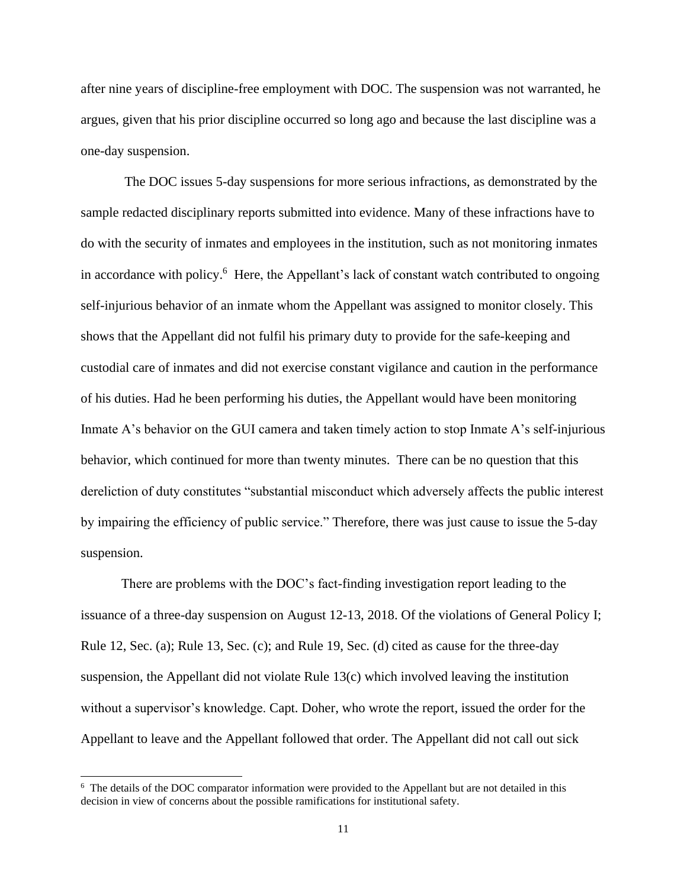after nine years of discipline-free employment with DOC. The suspension was not warranted, he argues, given that his prior discipline occurred so long ago and because the last discipline was a one-day suspension.

The DOC issues 5-day suspensions for more serious infractions, as demonstrated by the sample redacted disciplinary reports submitted into evidence. Many of these infractions have to do with the security of inmates and employees in the institution, such as not monitoring inmates in accordance with policy.<sup>6</sup> Here, the Appellant's lack of constant watch contributed to ongoing self-injurious behavior of an inmate whom the Appellant was assigned to monitor closely. This shows that the Appellant did not fulfil his primary duty to provide for the safe-keeping and custodial care of inmates and did not exercise constant vigilance and caution in the performance of his duties. Had he been performing his duties, the Appellant would have been monitoring Inmate A's behavior on the GUI camera and taken timely action to stop Inmate A's self-injurious behavior, which continued for more than twenty minutes. There can be no question that this dereliction of duty constitutes "substantial misconduct which adversely affects the public interest by impairing the efficiency of public service." Therefore, there was just cause to issue the 5-day suspension.

There are problems with the DOC's fact-finding investigation report leading to the issuance of a three-day suspension on August 12-13, 2018. Of the violations of General Policy I; Rule 12, Sec. (a); Rule 13, Sec. (c); and Rule 19, Sec. (d) cited as cause for the three-day suspension, the Appellant did not violate Rule 13(c) which involved leaving the institution without a supervisor's knowledge. Capt. Doher, who wrote the report, issued the order for the Appellant to leave and the Appellant followed that order. The Appellant did not call out sick

<sup>&</sup>lt;sup>6</sup> The details of the DOC comparator information were provided to the Appellant but are not detailed in this decision in view of concerns about the possible ramifications for institutional safety.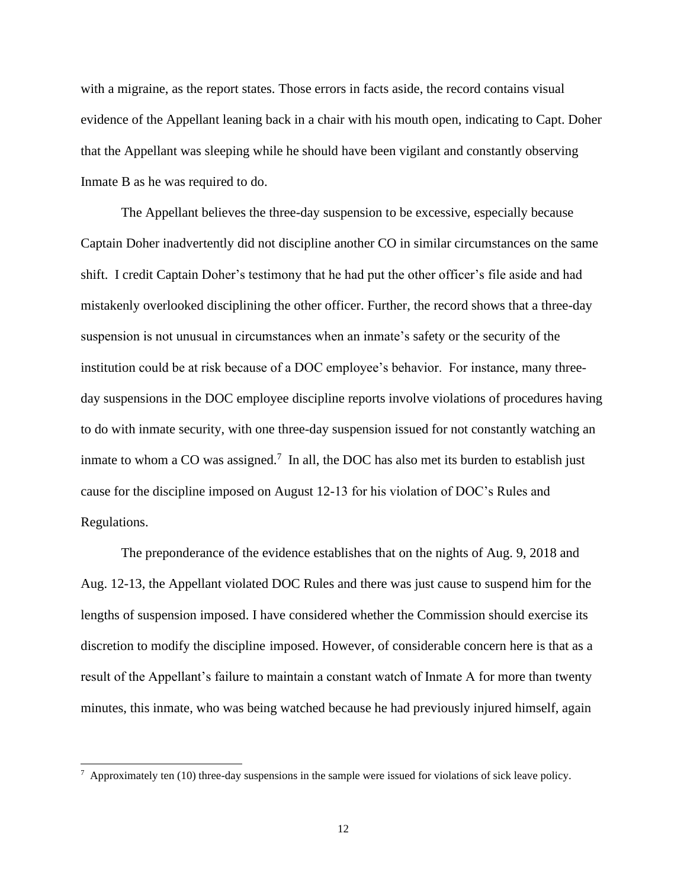with a migraine, as the report states. Those errors in facts aside, the record contains visual evidence of the Appellant leaning back in a chair with his mouth open, indicating to Capt. Doher that the Appellant was sleeping while he should have been vigilant and constantly observing Inmate B as he was required to do.

The Appellant believes the three-day suspension to be excessive, especially because Captain Doher inadvertently did not discipline another CO in similar circumstances on the same shift. I credit Captain Doher's testimony that he had put the other officer's file aside and had mistakenly overlooked disciplining the other officer. Further, the record shows that a three-day suspension is not unusual in circumstances when an inmate's safety or the security of the institution could be at risk because of a DOC employee's behavior. For instance, many threeday suspensions in the DOC employee discipline reports involve violations of procedures having to do with inmate security, with one three-day suspension issued for not constantly watching an inmate to whom a CO was assigned.<sup>7</sup> In all, the DOC has also met its burden to establish just cause for the discipline imposed on August 12-13 for his violation of DOC's Rules and Regulations.

The preponderance of the evidence establishes that on the nights of Aug. 9, 2018 and Aug. 12-13, the Appellant violated DOC Rules and there was just cause to suspend him for the lengths of suspension imposed. I have considered whether the Commission should exercise its discretion to modify the discipline imposed. However, of considerable concern here is that as a result of the Appellant's failure to maintain a constant watch of Inmate A for more than twenty minutes, this inmate, who was being watched because he had previously injured himself, again

 $7$  Approximately ten (10) three-day suspensions in the sample were issued for violations of sick leave policy.